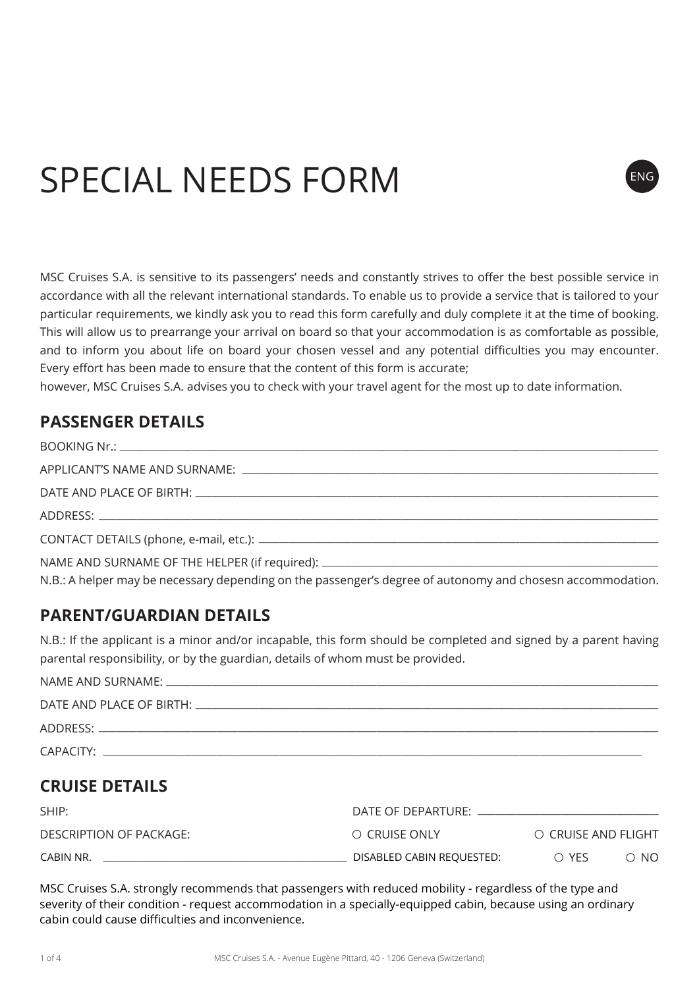# SPECIAL NEEDS FORM

MSC Cruises S.A. is sensitive to its passengers' needs and constantly strives to offer the best possible service in accordance with all the relevant international standards. To enable us to provide a service that is tailored to your particular requirements, we kindly ask you to read this form carefully and duly complete it at the time of booking. This will allow us to prearrange your arrival on board so that your accommodation is as comfortable as possible, and to inform you about life on board your chosen vessel and any potential difficulties you may encounter. Every effort has been made to ensure that the content of this form is accurate;

**ENG** 

however, MSC Cruises S.A. advises you to check with your travel agent for the most up to date information.

## **PASSENGER DETAILS**

| N.B.: A helper may be necessary depending on the passenger's degree of autonomy and chosesn accommodation. |
|------------------------------------------------------------------------------------------------------------|

## **PARENT/GUARDIAN DETAILS**

N.B.: If the applicant is a minor and/or incapable, this form should be completed and signed by a parent having parental responsibility, or by the guardian, details of whom must be provided.

| ADDRESS: AND THE CONTROL OF THE CONTROL OF THE CONTROL OF THE CONTROL OF THE CONTROL OF THE CONTROL OF THE CONTROL OF THE CONTROL OF THE CONTROL OF THE CONTROL OF THE CONTROL OF THE CONTROL OF THE CONTROL OF THE CONTROL OF |  |
|--------------------------------------------------------------------------------------------------------------------------------------------------------------------------------------------------------------------------------|--|
| CAPACITY:                                                                                                                                                                                                                      |  |

# **CRUISE DETAILS**

| SHIP:                   | DATE OF DEPARTURE:        |                     |            |
|-------------------------|---------------------------|---------------------|------------|
| DESCRIPTION OF PACKAGE: | O CRUISE ONLY             | O CRUISE AND FLIGHT |            |
| CABIN NR.               | DISABLED CABIN REQUESTED: | $\bigcirc$ YFS      | $\circ$ No |

MSC Cruises S.A. strongly recommends that passengers with reduced mobility - regardless of the type and MSC Cruises S.A. strongly recommends that passengers with reduced mobility - regardless of the type and severity of their condition - request accommodation in a specially-equipped cabin, because using an ordinary cabin could cause difficulties and inconvenience.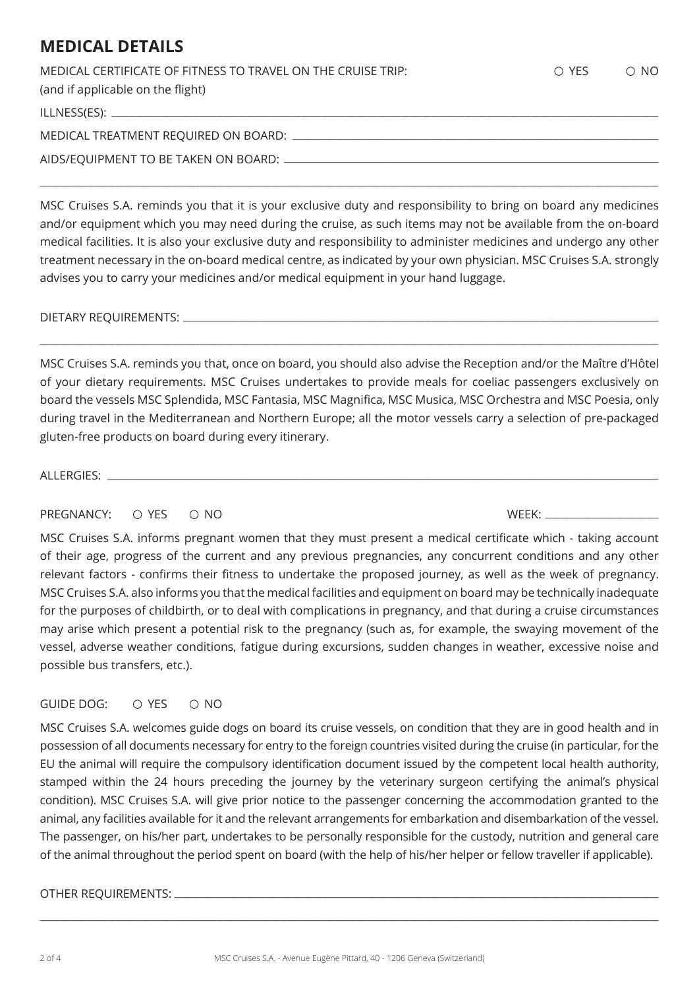# **MEDICAL DETAILS**

| MEDICAL CERTIFICATE OF FITNESS TO TRAVEL ON THE CRUISE TRIP:<br>(and if applicable on the flight) | $\bigcirc$ YFS | $\circ$ No |
|---------------------------------------------------------------------------------------------------|----------------|------------|
|                                                                                                   |                |            |
|                                                                                                   |                |            |
|                                                                                                   |                |            |

MSC Cruises S.A. reminds you that it is your exclusive duty and responsibility to bring on board any medicines and/or equipment which you may need during the cruise, as such items may not be available from the on-board medical facilities. It is also your exclusive duty and responsibility to administer medicines and undergo any other treatment necessary in the on-board medical centre, as indicated by your own physician. MSC Cruises S.A. strongly advises you to carry your medicines and/or medical equipment in your hand luggage.

\_\_\_\_\_\_\_\_\_\_\_\_\_\_\_\_\_\_\_\_\_\_\_\_\_\_\_\_\_\_\_\_\_\_\_\_\_\_\_\_\_\_\_\_\_\_\_\_\_\_\_\_\_\_\_\_\_\_\_\_\_\_\_\_\_\_\_\_\_\_\_\_\_\_\_\_\_\_\_\_\_\_\_\_\_\_\_\_\_\_\_\_\_\_\_\_\_\_\_\_\_\_\_\_\_\_\_\_\_\_\_\_\_\_\_\_\_\_\_\_\_\_\_\_\_\_\_\_\_\_\_\_\_\_\_\_\_\_\_\_\_\_\_\_\_\_\_

#### DIETARY REQUIREMENTS: \_

MSC Cruises S.A. reminds you that, once on board, you should also advise the Reception and/or the Maître d'Hôtel of your dietary requirements. MSC Cruises undertakes to provide meals for coeliac passengers exclusively on board the vessels MSC Splendida, MSC Fantasia, MSC Magnifica, MSC Musica, MSC Orchestra and MSC Poesia, only during travel in the Mediterranean and Northern Europe; all the motor vessels carry a selection of pre-packaged gluten-free products on board during every itinerary.

\_\_\_\_\_\_\_\_\_\_\_\_\_\_\_\_\_\_\_\_\_\_\_\_\_\_\_\_\_\_\_\_\_\_\_\_\_\_\_\_\_\_\_\_\_\_\_\_\_\_\_\_\_\_\_\_\_\_\_\_\_\_\_\_\_\_\_\_\_\_\_\_\_\_\_\_\_\_\_\_\_\_\_\_\_\_\_\_\_\_\_\_\_\_\_\_\_\_\_\_\_\_\_\_\_\_\_\_\_\_\_\_\_\_\_\_\_\_\_\_\_\_\_\_\_\_\_\_\_\_\_\_\_\_\_\_\_\_\_\_\_\_\_\_\_\_\_

ALLERGIES:

## PREGNANCY: YES NO WEEK: \_\_\_\_\_\_\_\_\_\_\_\_\_\_\_\_\_\_\_\_\_\_\_\_\_\_\_

MSC Cruises S.A. informs pregnant women that they must present a medical certificate which - taking account of their age, progress of the current and any previous pregnancies, any concurrent conditions and any other relevant factors - confirms their fitness to undertake the proposed journey, as well as the week of pregnancy. MSC Cruises S.A. also informs you that the medical facilities and equipment on board may be technically inadequate for the purposes of childbirth, or to deal with complications in pregnancy, and that during a cruise circumstances may arise which present a potential risk to the pregnancy (such as, for example, the swaying movement of the vessel, adverse weather conditions, fatigue during excursions, sudden changes in weather, excessive noise and possible bus transfers, etc.).

## GUIDE DOG:  $\bigcirc$  YES  $\bigcirc$  NO

MSC Cruises S.A. welcomes guide dogs on board its cruise vessels, on condition that they are in good health and in possession of all documents necessary for entry to the foreign countries visited during the cruise (in particular, for the EU the animal will require the compulsory identification document issued by the competent local health authority, stamped within the 24 hours preceding the journey by the veterinary surgeon certifying the animal's physical condition). MSC Cruises S.A. will give prior notice to the passenger concerning the accommodation granted to the animal, any facilities available for it and the relevant arrangements for embarkation and disembarkation of the vessel. The passenger, on his/her part, undertakes to be personally responsible for the custody, nutrition and general care of the animal throughout the period spent on board (with the help of his/her helper or fellow traveller if applicable).

#### OTHER REQUIREMENTS: \_\_\_\_

\_\_\_\_\_\_\_\_\_\_\_\_\_\_\_\_\_\_\_\_\_\_\_\_\_\_\_\_\_\_\_\_\_\_\_\_\_\_\_\_\_\_\_\_\_\_\_\_\_\_\_\_\_\_\_\_\_\_\_\_\_\_\_\_\_\_\_\_\_\_\_\_\_\_\_\_\_\_\_\_\_\_\_\_\_\_\_\_\_\_\_\_\_\_\_\_\_\_\_\_\_\_\_\_\_\_\_\_\_\_\_\_\_\_\_\_\_\_\_\_\_\_\_\_\_\_\_\_\_\_\_\_\_\_\_\_\_\_\_\_\_\_\_\_\_\_\_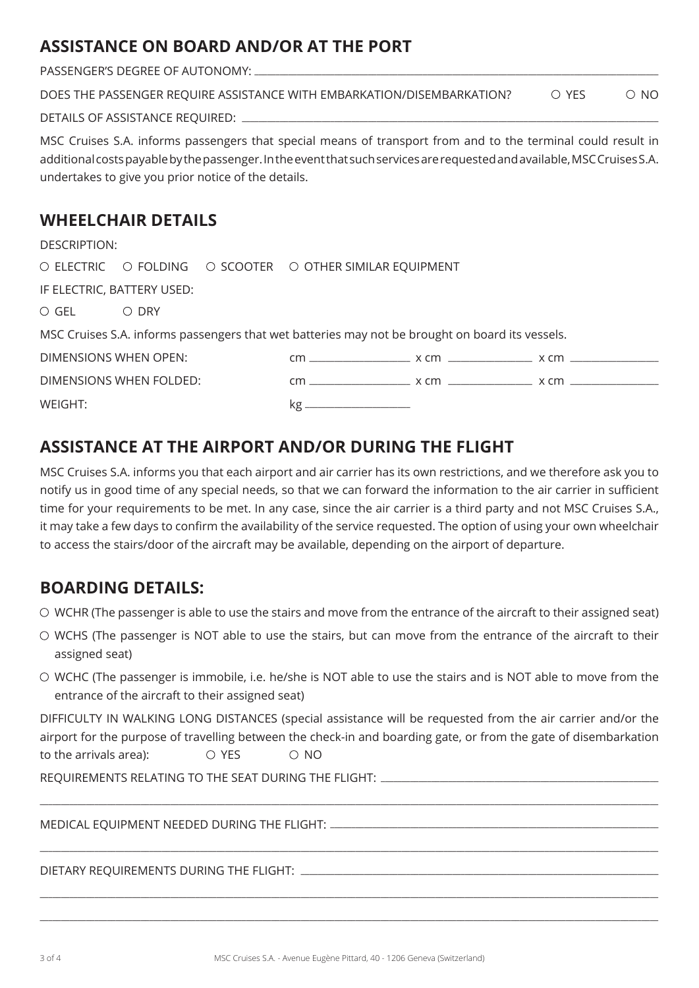# **ASSISTANCE ON BOARD AND/OR AT THE PORT**

PASSENGER'S DEGREE OF AUTONOMY: \_\_\_\_\_\_\_\_\_\_\_\_\_\_\_\_\_\_\_\_\_\_\_\_\_\_\_\_\_\_\_\_\_\_\_\_\_\_\_\_\_\_\_\_\_\_\_\_\_\_\_\_\_\_\_\_\_\_\_\_\_\_\_\_\_\_\_\_\_\_\_\_\_\_\_\_\_\_\_\_\_\_\_\_\_\_\_\_\_\_\_\_\_\_\_\_

| DOES THE PASSENGER REQUIRE ASSISTANCE WITH EMBARKATION/DISEMBARKATION? | ∩ YFS | $\circ$ NO |
|------------------------------------------------------------------------|-------|------------|
| DETAILS OF ASSISTANCE REQUIRED:                                        |       |            |

MSC Cruises S.A. informs passengers that special means of transport from and to the terminal could result in additional costs payable by the passenger. In the event that such services are requested and available, MSC Cruises S.A. undertakes to give you prior notice of the details.

# **WHEELCHAIR DETAILS**

| DESCRIPTION:                                                                                    |                         |  |                                                          |  |  |
|-------------------------------------------------------------------------------------------------|-------------------------|--|----------------------------------------------------------|--|--|
|                                                                                                 |                         |  | O ELECTRIC O FOLDING O SCOOTER O OTHER SIMILAR EQUIPMENT |  |  |
| IF ELECTRIC, BATTERY USED:                                                                      |                         |  |                                                          |  |  |
| $\circ$ GEL $\circ$ DRY                                                                         |                         |  |                                                          |  |  |
| MSC Cruises S.A. informs passengers that wet batteries may not be brought on board its vessels. |                         |  |                                                          |  |  |
| DIMENSIONS WHEN OPEN:                                                                           |                         |  |                                                          |  |  |
|                                                                                                 | DIMENSIONS WHEN FOLDED: |  |                                                          |  |  |
| WEIGHT:                                                                                         |                         |  |                                                          |  |  |

# **ASSISTANCE AT THE AIRPORT AND/OR DURING THE FLIGHT**

MSC Cruises S.A. informs you that each airport and air carrier has its own restrictions, and we therefore ask you to notify us in good time of any special needs, so that we can forward the information to the air carrier in sufficient time for your requirements to be met. In any case, since the air carrier is a third party and not MSC Cruises S.A., it may take a few days to confirm the availability of the service requested. The option of using your own wheelchair to access the stairs/door of the aircraft may be available, depending on the airport of departure.

# **BOARDING DETAILS:**

 $\circ$  WCHR (The passenger is able to use the stairs and move from the entrance of the aircraft to their assigned seat)

- WCHS (The passenger is NOT able to use the stairs, but can move from the entrance of the aircraft to their assigned seat)
- WCHC (The passenger is immobile, i.e. he/she is NOT able to use the stairs and is NOT able to move from the entrance of the aircraft to their assigned seat)

DIFFICULTY IN WALKING LONG DISTANCES (special assistance will be requested from the air carrier and/or the airport for the purpose of travelling between the check-in and boarding gate, or from the gate of disembarkation to the arrivals area):  $\overline{O}$  YES  $\overline{O}$  NO

\_\_\_\_\_\_\_\_\_\_\_\_\_\_\_\_\_\_\_\_\_\_\_\_\_\_\_\_\_\_\_\_\_\_\_\_\_\_\_\_\_\_\_\_\_\_\_\_\_\_\_\_\_\_\_\_\_\_\_\_\_\_\_\_\_\_\_\_\_\_\_\_\_\_\_\_\_\_\_\_\_\_\_\_\_\_\_\_\_\_\_\_\_\_\_\_\_\_\_\_\_\_\_\_\_\_\_\_\_\_\_\_\_\_\_\_\_\_\_\_\_\_\_\_\_\_\_\_\_\_\_\_\_\_\_\_\_\_\_\_\_\_\_\_\_\_\_

\_\_\_\_\_\_\_\_\_\_\_\_\_\_\_\_\_\_\_\_\_\_\_\_\_\_\_\_\_\_\_\_\_\_\_\_\_\_\_\_\_\_\_\_\_\_\_\_\_\_\_\_\_\_\_\_\_\_\_\_\_\_\_\_\_\_\_\_\_\_\_\_\_\_\_\_\_\_\_\_\_\_\_\_\_\_\_\_\_\_\_\_\_\_\_\_\_\_\_\_\_\_\_\_\_\_\_\_\_\_\_\_\_\_\_\_\_\_\_\_\_\_\_\_\_\_\_\_\_\_\_\_\_\_\_\_\_\_\_\_\_\_\_\_\_\_\_

\_\_\_\_\_\_\_\_\_\_\_\_\_\_\_\_\_\_\_\_\_\_\_\_\_\_\_\_\_\_\_\_\_\_\_\_\_\_\_\_\_\_\_\_\_\_\_\_\_\_\_\_\_\_\_\_\_\_\_\_\_\_\_\_\_\_\_\_\_\_\_\_\_\_\_\_\_\_\_\_\_\_\_\_\_\_\_\_\_\_\_\_\_\_\_\_\_\_\_\_\_\_\_\_\_\_\_\_\_\_\_\_\_\_\_\_\_\_\_\_\_\_\_\_\_\_\_\_\_\_\_\_\_\_\_\_\_\_\_\_\_\_\_\_\_\_\_ \_\_\_\_\_\_\_\_\_\_\_\_\_\_\_\_\_\_\_\_\_\_\_\_\_\_\_\_\_\_\_\_\_\_\_\_\_\_\_\_\_\_\_\_\_\_\_\_\_\_\_\_\_\_\_\_\_\_\_\_\_\_\_\_\_\_\_\_\_\_\_\_\_\_\_\_\_\_\_\_\_\_\_\_\_\_\_\_\_\_\_\_\_\_\_\_\_\_\_\_\_\_\_\_\_\_\_\_\_\_\_\_\_\_\_\_\_\_\_\_\_\_\_\_\_\_\_\_\_\_\_\_\_\_\_\_\_\_\_\_\_\_\_\_\_\_\_

REQUIREMENTS RELATING TO THE SEAT DURING THE ELIGHT:

MEDICAL EQUIPMENT NEEDED DURING THE FLIGHT: \_\_\_\_\_\_\_\_\_\_\_\_\_\_\_\_\_\_\_\_\_\_\_\_\_\_\_\_\_\_\_\_\_\_\_\_\_\_\_\_\_\_\_\_\_\_\_\_\_\_\_\_\_\_\_\_\_\_\_\_\_\_\_\_\_\_\_\_\_\_\_\_\_\_\_\_\_\_

DIETARY REQUIREMENTS DURING THE FLIGHT: \_\_\_\_\_\_\_\_\_\_\_\_\_\_\_\_\_\_\_\_\_\_\_\_\_\_\_\_\_\_\_\_\_\_\_\_\_\_\_\_\_\_\_\_\_\_\_\_\_\_\_\_\_\_\_\_\_\_\_\_\_\_\_\_\_\_\_\_\_\_\_\_\_\_\_\_\_\_\_\_\_\_\_\_\_